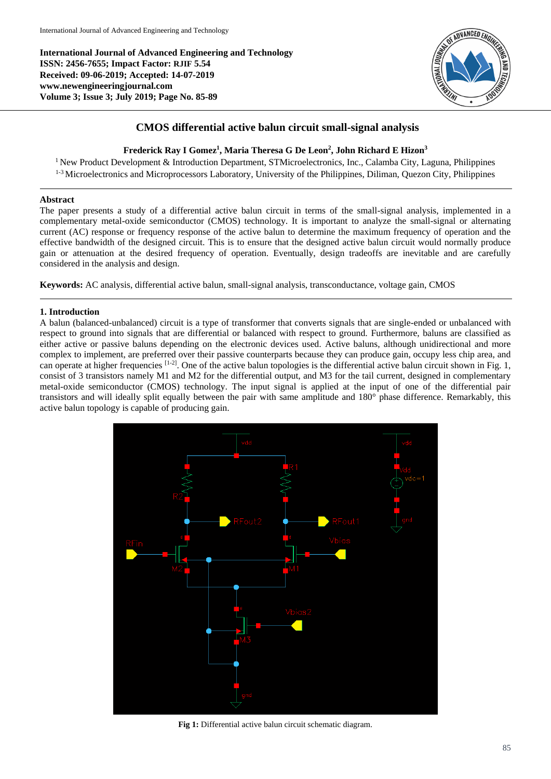**International Journal of Advanced Engineering and Technology ISSN: 2456-7655; Impact Factor: RJIF 5.54 Received: 09-06-2019; Accepted: 14-07-2019 www.newengineeringjournal.com Volume 3; Issue 3; July 2019; Page No. 85-89**



## **CMOS differential active balun circuit small-signal analysis**

### **Frederick Ray I Gomez<sup>1</sup> , Maria Theresa G De Leon<sup>2</sup> , John Richard E Hizon<sup>3</sup>**

<sup>1</sup> New Product Development & Introduction Department, STMicroelectronics, Inc., Calamba City, Laguna, Philippines <sup>1-3</sup> Microelectronics and Microprocessors Laboratory, University of the Philippines, Diliman, Quezon City, Philippines

#### **Abstract**

The paper presents a study of a differential active balun circuit in terms of the small-signal analysis, implemented in a complementary metal-oxide semiconductor (CMOS) technology. It is important to analyze the small-signal or alternating current (AC) response or frequency response of the active balun to determine the maximum frequency of operation and the effective bandwidth of the designed circuit. This is to ensure that the designed active balun circuit would normally produce gain or attenuation at the desired frequency of operation. Eventually, design tradeoffs are inevitable and are carefully considered in the analysis and design.

**Keywords:** AC analysis, differential active balun, small-signal analysis, transconductance, voltage gain, CMOS

#### **1. Introduction**

A balun (balanced-unbalanced) circuit is a type of transformer that converts signals that are single-ended or unbalanced with respect to ground into signals that are differential or balanced with respect to ground. Furthermore, baluns are classified as either active or passive baluns depending on the electronic devices used. Active baluns, although unidirectional and more complex to implement, are preferred over their passive counterparts because they can produce gain, occupy less chip area, and can operate at higher frequencies  $[1-2]$ . One of the active balun topologies is the differential active balun circuit shown in Fig. 1, consist of 3 transistors namely M1 and M2 for the differential output, and M3 for the tail current, designed in complementary metal-oxide semiconductor (CMOS) technology. The input signal is applied at the input of one of the differential pair transistors and will ideally split equally between the pair with same amplitude and 180° phase difference. Remarkably, this active balun topology is capable of producing gain.



**Fig 1:** Differential active balun circuit schematic diagram.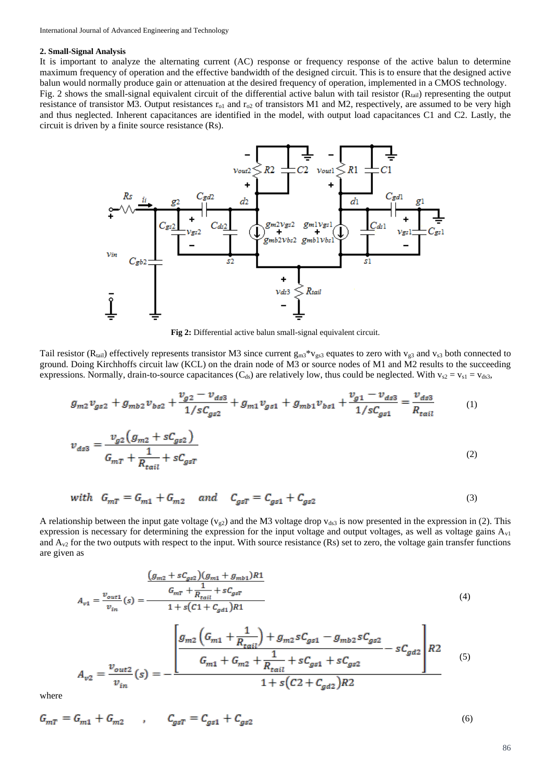#### **2. Small-Signal Analysis**

It is important to analyze the alternating current (AC) response or frequency response of the active balun to determine maximum frequency of operation and the effective bandwidth of the designed circuit. This is to ensure that the designed active balun would normally produce gain or attenuation at the desired frequency of operation, implemented in a CMOS technology. Fig. 2 shows the small-signal equivalent circuit of the differential active balun with tail resistor  $(R<sub>tail</sub>)$  representing the output resistance of transistor M3. Output resistances  $r_{01}$  and  $r_{02}$  of transistors M1 and M2, respectively, are assumed to be very high and thus neglected. Inherent capacitances are identified in the model, with output load capacitances C1 and C2. Lastly, the circuit is driven by a finite source resistance (Rs).



**Fig 2:** Differential active balun small-signal equivalent circuit.

Tail resistor (R<sub>tail</sub>) effectively represents transistor M3 since current  $g_{m3} * v_{gs3}$  equates to zero with  $v_{gs}$  and  $v_{s3}$  both connected to ground. Doing Kirchhoffs circuit law (KCL) on the drain node of M3 or source nodes of M1 and M2 results to the succeeding expressions. Normally, drain-to-source capacitances (C<sub>ds</sub>) are relatively low, thus could be neglected. With  $v_{s2} = v_{s1} = v_{ds3}$ ,

$$
g_{m2}v_{gs2} + g_{mb2}v_{bs2} + \frac{v_{g2} - v_{ds3}}{1/sC_{gs2}} + g_{m1}v_{gs1} + g_{mb1}v_{bs1} + \frac{v_{g1} - v_{ds3}}{1/sC_{gs1}} = \frac{v_{ds3}}{R_{tail}}
$$
(1)  

$$
v_{g2}(g_{m2} + sC_{gs2})
$$

$$
v_{ds3} = \frac{g_{\text{sc}} + m_{\text{sc}}}{G_{m} + \frac{1}{R_{tail}} + sC_{gsT}}
$$
\n<sup>(2)</sup>

$$
\text{with} \quad G_{mT} = G_{m1} + G_{m2} \quad \text{and} \quad C_{gsT} = C_{gs1} + C_{gs2} \tag{3}
$$

A relationship between the input gate voltage ( $v_{g2}$ ) and the M3 voltage drop  $v_{ds3}$  is now presented in the expression in (2). This expression is necessary for determining the expression for the input voltage and output voltages, as well as voltage gains  $A_{v1}$ and  $A_{v2}$  for the two outputs with respect to the input. With source resistance (Rs) set to zero, the voltage gain transfer functions are given as

$$
\frac{\left(g_{m2} + sC_{gs2}\right)\left(g_{m1} + g_{mb1}\right)R1}{v_{in}} = \frac{G_{mT} + \frac{1}{R_{tail}} + sC_{gsT}}{1 + s\left(C1 + C_{gd1}\right)R1}
$$
\n(4)

$$
A_{v2} = \frac{v_{out2}}{v_{in}}(s) = -\frac{\left| \frac{g_{m2} \left( G_{m1} + \frac{1}{R_{tail}} \right) + g_{m2} s C_{gs1} - g_{m2} s C_{gs2}}{G_{m1} + G_{m2} + \frac{1}{R_{tail}} + s C_{gs1} + s C_{gs2}} - s C_{gd2} \right| R2}{1 + s \left( C2 + C_{gd2} \right) R2}
$$
(5)

where

$$
G_{mT} = G_{m1} + G_{m2} \qquad , \qquad C_{gsT} = C_{gs1} + C_{gs2} \tag{6}
$$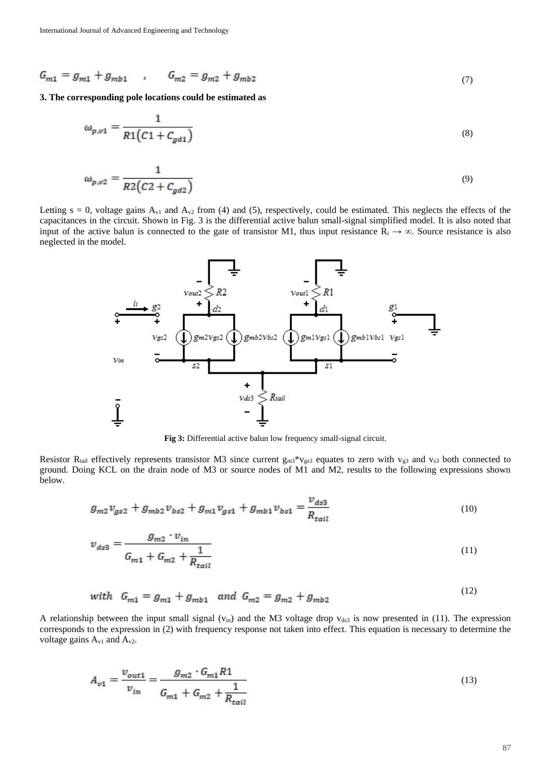$$
G_{m1} = g_{m1} + g_{mb1} \qquad G_{m2} = g_{m2} + g_{mb2} \tag{7}
$$

**3. The corresponding pole locations could be estimated as** 

$$
\omega_{p,v1} = \frac{1}{R1(C1 + C_{gd1})}
$$
\n
$$
\omega_{p,v2} = \frac{1}{R2(C2 + C_{gd2})}
$$
\n(9)

Letting  $s = 0$ , voltage gains  $A_{v1}$  and  $A_{v2}$  from (4) and (5), respectively, could be estimated. This neglects the effects of the capacitances in the circuit. Shown in Fig. 3 is the differential active balun small-signal simplified model. It is also noted that input of the active balun is connected to the gate of transistor M1, thus input resistance  $R_i \rightarrow \infty$ . Source resistance is also neglected in the model.



**Fig 3:** Differential active balun low frequency small-signal circuit.

Resistor R<sub>tail</sub> effectively represents transistor M3 since current  $g_{m3}$ <sup>\*</sup>v<sub>gs3</sub> equates to zero with v<sub>g3</sub> and v<sub>s3</sub> both connected to ground. Doing KCL on the drain node of M3 or source nodes of M1 and M2, results to the following expressions shown below.

$$
g_{m2}v_{gs2} + g_{mb2}v_{bs2} + g_{m1}v_{gs1} + g_{mb1}v_{bs1} = \frac{v_{ds3}}{R_{tail}}
$$
(10)

$$
v_{ds3} = \frac{g_{m2} \cdot v_{in}}{G_{m1} + G_{m2} + \frac{1}{R_{tail}}}
$$
(11)

with 
$$
G_{m1} = g_{m1} + g_{mb1}
$$
 and  $G_{m2} = g_{m2} + g_{mb2}$  (12)

A relationship between the input small signal ( $v_{in}$ ) and the M3 voltage drop  $v_{ds3}$  is now presented in (11). The expression corresponds to the expression in (2) with frequency response not taken into effect. This equation is necessary to determine the voltage gains  $A_{v1}$  and  $A_{v2}$ .

$$
A_{v1} = \frac{v_{out1}}{v_{in}} = \frac{g_{m2} \cdot G_{m1} R1}{G_{m1} + G_{m2} + \frac{1}{R_{tail}}}
$$
(13)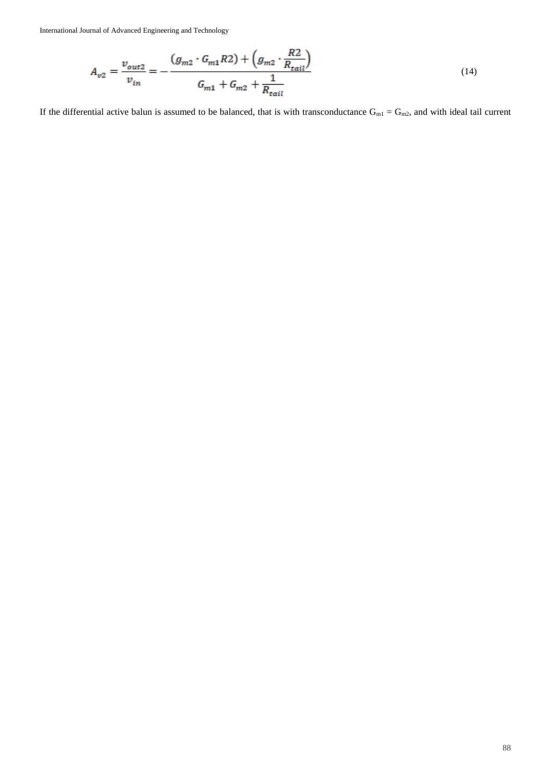International Journal of Advanced Engineering and Technology

$$
A_{v2} = \frac{v_{out2}}{v_{in}} = -\frac{(g_{m2} \cdot G_{m1} R2) + (g_{m2} \cdot \frac{R2}{R_{tail}})}{G_{m1} + G_{m2} + \frac{1}{R_{tail}}}
$$
(14)

If the differential active balun is assumed to be balanced, that is with transconductance  $G_{m1} = G_{m2}$ , and with ideal tail current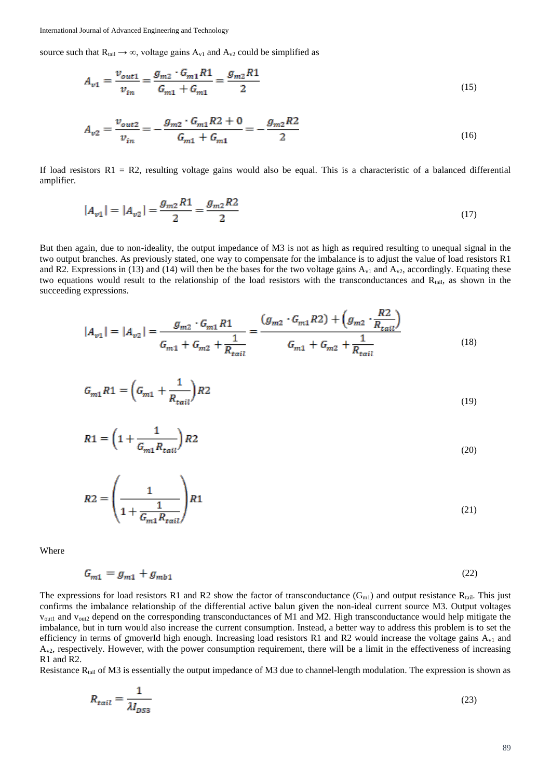International Journal of Advanced Engineering and Technology

source such that  $R_{tail} \rightarrow \infty$ , voltage gains  $A_{v1}$  and  $A_{v2}$  could be simplified as

$$
A_{v1} = \frac{v_{out1}}{v_{in}} = \frac{g_{m2} \cdot G_{m1} R1}{G_{m1} + G_{m1}} = \frac{g_{m2} R1}{2}
$$
\n(15)

$$
A_{v2} = \frac{v_{out2}}{v_{in}} = -\frac{g_{m2} \cdot G_{m1} R2 + 0}{G_{m1} + G_{m1}} = -\frac{g_{m2} R2}{2}
$$
(16)

If load resistors  $R1 = R2$ , resulting voltage gains would also be equal. This is a characteristic of a balanced differential amplifier.

$$
|A_{v1}| = |A_{v2}| = \frac{g_{m2}R1}{2} = \frac{g_{m2}R2}{2}
$$
\n(17)

But then again, due to non-ideality, the output impedance of M3 is not as high as required resulting to unequal signal in the two output branches. As previously stated, one way to compensate for the imbalance is to adjust the value of load resistors R1 and R2. Expressions in (13) and (14) will then be the bases for the two voltage gains  $A_{v1}$  and  $A_{v2}$ , accordingly. Equating these two equations would result to the relationship of the load resistors with the transconductances and Rtail, as shown in the succeeding expressions.

$$
|A_{v1}| = |A_{v2}| = \frac{g_{m2} \cdot G_{m1} R1}{G_{m1} + G_{m2} + \frac{1}{R_{tail}}} = \frac{(g_{m2} \cdot G_{m1} R2) + (g_{m2} \cdot \frac{R2}{R_{tail}})}{G_{m1} + G_{m2} + \frac{1}{R_{tail}}}
$$
(18)

$$
G_{m1}R1 = \left(G_{m1} + \frac{1}{R_{tail}}\right)R2\tag{19}
$$

$$
R1 = \left(1 + \frac{1}{G_{m1}R_{tail}}\right)R2\tag{20}
$$

$$
R2 = \left(\frac{1}{1 + \frac{1}{G_{m1}R_{tail}}}\right)R1\tag{21}
$$

Where

$$
G_{m1} = g_{m1} + g_{mb1} \tag{22}
$$

The expressions for load resistors R1 and R2 show the factor of transconductance  $(G_{m1})$  and output resistance  $R_{tail}$ . This just confirms the imbalance relationship of the differential active balun given the non-ideal current source M3. Output voltages vout1 and vout2 depend on the corresponding transconductances of M1 and M2. High transconductance would help mitigate the imbalance, but in turn would also increase the current consumption. Instead, a better way to address this problem is to set the efficiency in terms of gmoverId high enough. Increasing load resistors R1 and R2 would increase the voltage gains  $A_{v1}$  and  $A_{v2}$ , respectively. However, with the power consumption requirement, there will be a limit in the effectiveness of increasing R1 and R2.

Resistance R<sub>tail</sub> of M3 is essentially the output impedance of M3 due to channel-length modulation. The expression is shown as

$$
R_{tail} = \frac{1}{\lambda I_{DS3}}\tag{23}
$$